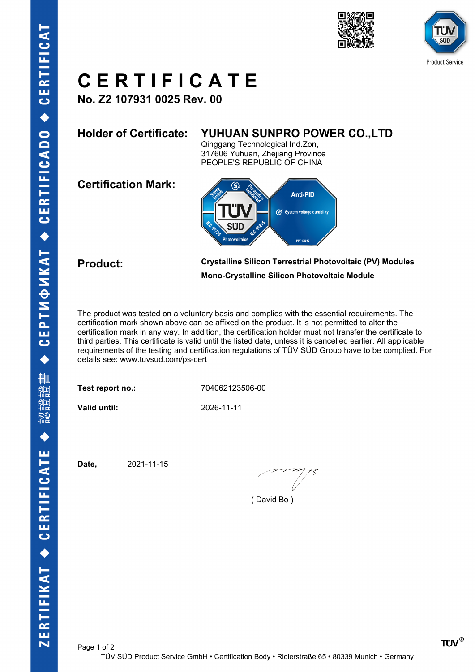





## **C E R T I F I C A T E**

**No. Z2 107931 0025 Rev. 00**

## **Holder of Certificate: YUHUAN SUNPRO POWER CO.,LTD**

Qinggang Technological Ind.Zon, 317606 Yuhuan, Zhejiang Province PEOPLE'S REPUBLIC OF CHINA

**Certification Mark:**



**Product: Crystalline Silicon Terrestrial Photovoltaic (PV) Modules Mono-Crystalline Silicon Photovoltaic Module**

The product was tested on a voluntary basis and complies with the essential requirements. The certification mark shown above can be affixed on the product. It is not permitted to alter the certification mark in any way. In addition, the certification holder must not transfer the certificate to third parties. This certificate is valid until the listed date, unless it is cancelled earlier. All applicable requirements of the testing and certification regulations of TÜV SÜD Group have to be complied. For details see: www.tuvsud.com/ps-cert

**Test report no.:** 704062123506-00

**Valid until:** 2026-11-11

**Date,** 2021-11-15

( David Bo )